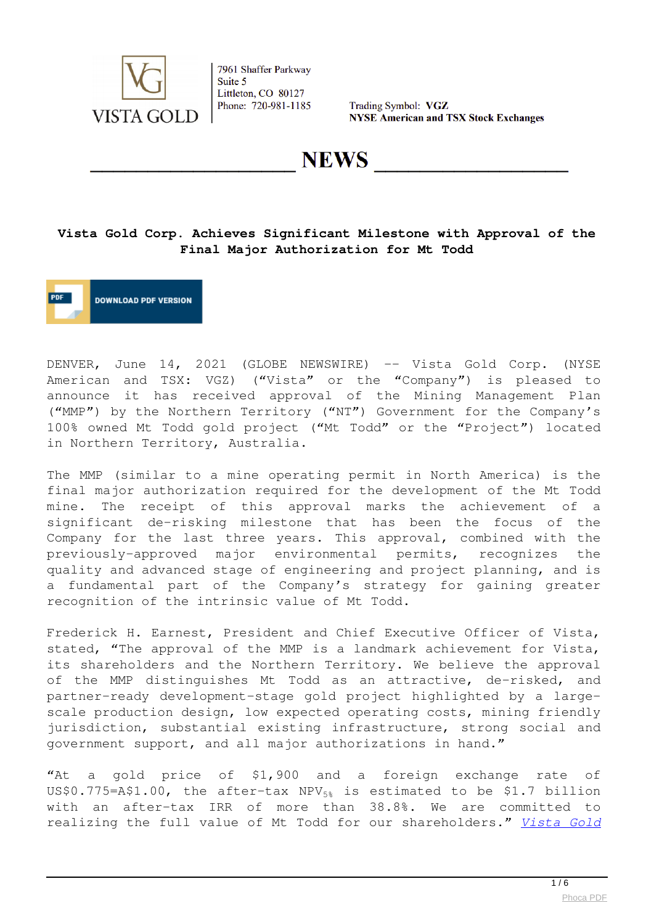

Trading Symbol: VGZ **NYSE American and TSX Stock Exchanges** 

**NEWS** 

## **Vista Gold Corp. Achieves Significant Milestone with Approval of the Final Major Authorization for Mt Todd**

**DOWNLOAD PDF VERSION** 

DENVER, June 14, 2021 (GLOBE NEWSWIRE) -- Vista Gold Corp. (NYSE American and TSX: VGZ) ("Vista" or the "Company") is pleased to announce it has received approval of the Mining Management Plan ("MMP") by the Northern Territory ("NT") Government for the Company's 100% owned Mt Todd gold project ("Mt Todd" or the "Project") located in Northern Territory, Australia.

The MMP (similar to a mine operating permit in North America) is the final major authorization required for the development of the Mt Todd mine. The receipt of this approval marks the achievement of a significant de-risking milestone that has been the focus of the Company for the last three years. This approval, combined with the previously-approved major environmental permits, recognizes the quality and advanced stage of engineering and project planning, and is a fundamental part of the Company's strategy for gaining greater recognition of the intrinsic value of Mt Todd.

Frederick H. Earnest, President and Chief Executive Officer of Vista, stated, "The approval of the MMP is a landmark achievement for Vista, its shareholders and the Northern Territory. We believe the approval of the MMP distinguishes Mt Todd as an attractive, de-risked, and partner-ready development-stage gold project highlighted by a largescale production design, low expected operating costs, mining friendly jurisdiction, substantial existing infrastructure, strong social and government support, and all major authorizations in hand."

"At a gold price of \$1,900 and a foreign exchange rate of US\$0.775=A\$1.00, the after-tax  $NPV_{58}$  is estimated to be \$1.7 billion with an after-tax IRR of more than 38.8%. We are committed to realizing the full value of Mt Todd for our shareholders." *[Vista Gold](https://www.globenewswire.com/Tracker?data=wYNZS9M-ddDIkKYKKbDUcFQHbDCM5Ghj9Nefl9m7Za-KB2kM0lThxV_bIl1gXMyuzz4rYGZu_y_JGKnvI4Xhuo4mksZ5bPlV9a0fOPtWb0CZPVZM-6fpq1iXLn6hE_WI10t_9pL58Od11_p7a9Vyn0RiM8rDVXILD_cx9aTFYgT-uXnT_aIGgEje5RyBxIvKy0ueaEchEctgZYc0LQSvO52Aq9CX1Ggq2PdZV1ns7qU7ue8UxvERRyFEGizvT0MdCAld--2GeRM5r-7A72uWtY34kUFozPFQc3MlljemfGiPSs1zueBqIQr0e5Dl4kl7t7ol63V1U-QggPBQ7wj-tVVQAfyKqVCbp7blWTigIb8oMM6lWIu3X10dbfHmE_pVgchs5PeCTUnXOBGwrjCFbF08rD74Vh5G3TzWHyNJdZNe5Jd9d9QUxqeB6KwXYUo0NPPhaMHchHzy9oyTFoiQP79kgJibdrI3bExV6CKhJk2ogE9O2-RELSduLRvZ-DgabXDlqwPCAO1lXN6Ik8c55SwVlmgAvQ7Yt4Jjdi3NU73mqmLXG0UYV9oAy10kkWrXFo_6am1wqBaYkoOCO3gwE2lOpX4FNaTfKCANpZMKeeJUS7vNKHzDhwdnjD_xgRXR)*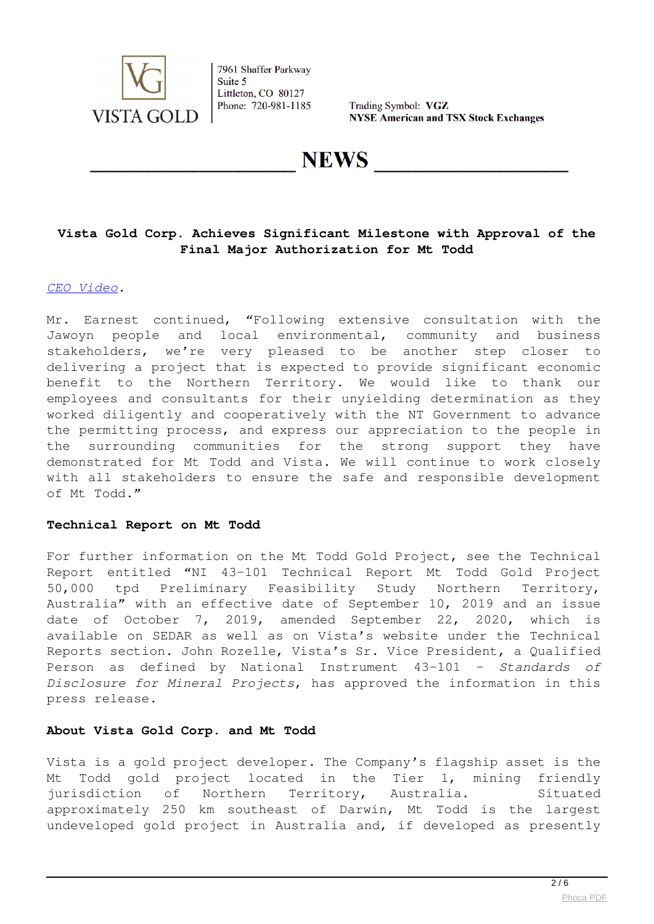

Trading Symbol: VGZ **NYSE American and TSX Stock Exchanges** 

**NEWS** 

## **Vista Gold Corp. Achieves Significant Milestone with Approval of the Final Major Authorization for Mt Todd**

#### *CEO Video.*

Mr. Earnest continued, "Following extensive consultation with the Jawoyn people and local environmental, community and business stakeholders, we're very pleased to be another step closer to delivering a project that is expected to provide significant economic benefit to the Northern Territory. We would like to thank our employees and consultants for their unyielding determination as they worked diligently and cooperatively with the NT Government to advance the permitting process, and express our appreciation to the people in the surrounding communities for the strong support they have demonstrated for Mt Todd and Vista. We will continue to work closely with all stakeholders to ensure the safe and responsible development of Mt Todd."

#### **Technical Report on Mt Todd**

For further information on the Mt Todd Gold Project, see the Technical Report entitled "NI 43-101 Technical Report Mt Todd Gold Project 50,000 tpd Preliminary Feasibility Study Northern Territory, Australia" with an effective date of September 10, 2019 and an issue date of October 7, 2019, amended September 22, 2020, which is available on SEDAR as well as on Vista's website under the Technical Reports section. John Rozelle, Vista's Sr. Vice President, a Qualified Person as defined by National Instrument 43-101 – *Standards of Disclosure for Mineral Projects*, has approved the information in this press release.

#### **About Vista Gold Corp. and Mt Todd**

Vista is a gold project developer. The Company's flagship asset is the Mt Todd gold project located in the Tier 1, mining friendly jurisdiction of Northern Territory, Australia. Situated approximately 250 km southeast of Darwin, Mt Todd is the largest undeveloped gold project in Australia and, if developed as presently

 $\frac{2}{6}$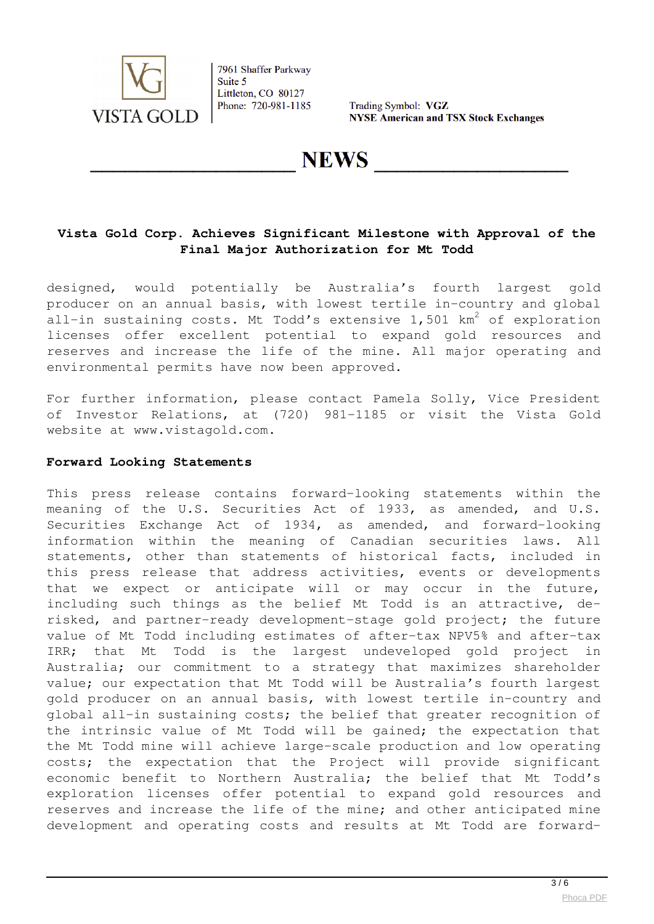

Trading Symbol: VGZ **NYSE American and TSX Stock Exchanges** 

# **NEWS**

## **Vista Gold Corp. Achieves Significant Milestone with Approval of the Final Major Authorization for Mt Todd**

designed, would potentially be Australia's fourth largest gold producer on an annual basis, with lowest tertile in-country and global all-in sustaining costs. Mt Todd's extensive 1,501 km $^2$  of exploration licenses offer excellent potential to expand gold resources and reserves and increase the life of the mine. All major operating and environmental permits have now been approved.

For further information, please contact Pamela Solly, Vice President of Investor Relations, at (720) 981-1185 or visit the Vista Gold website at www.vistagold.com.

#### **Forward Looking Statements**

This press release contains forward-looking statements within the meaning of the U.S. Securities Act of 1933, as amended, and U.S. Securities Exchange Act of 1934, as amended, and forward-looking information within the meaning of Canadian securities laws. All statements, other than statements of historical facts, included in this press release that address activities, events or developments that we expect or anticipate will or may occur in the future, including such things as the belief Mt Todd is an attractive, derisked, and partner-ready development-stage gold project; the future value of Mt Todd including estimates of after-tax NPV5% and after-tax IRR; that Mt Todd is the largest undeveloped gold project in Australia; our commitment to a strategy that maximizes shareholder value; our expectation that Mt Todd will be Australia's fourth largest gold producer on an annual basis, with lowest tertile in-country and global all-in sustaining costs; the belief that greater recognition of the intrinsic value of Mt Todd will be gained; the expectation that the Mt Todd mine will achieve large-scale production and low operating costs; the expectation that the Project will provide significant economic benefit to Northern Australia; the belief that Mt Todd's exploration licenses offer potential to expand gold resources and reserves and increase the life of the mine; and other anticipated mine development and operating costs and results at Mt Todd are forward-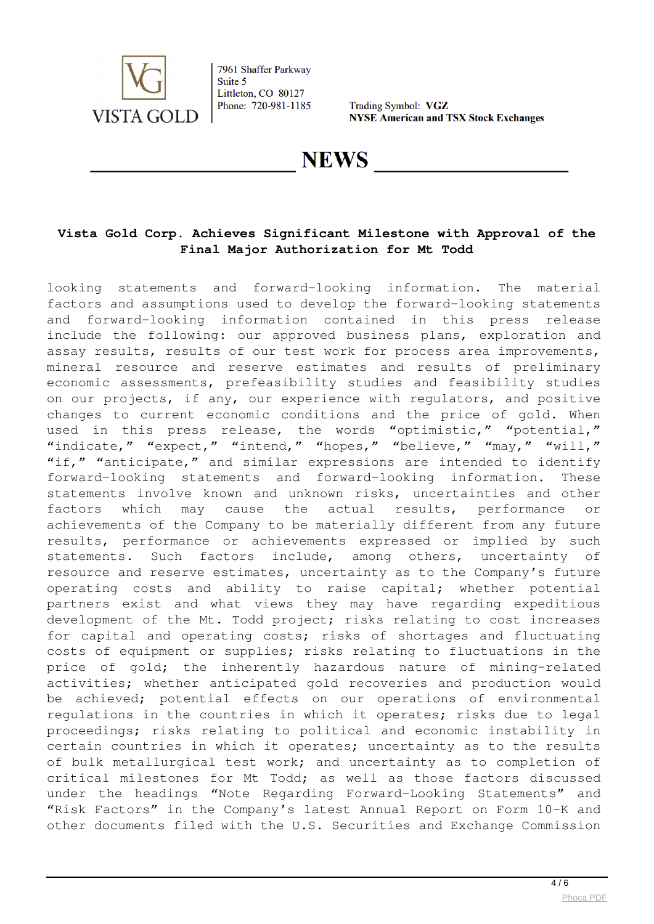

Trading Symbol: VGZ **NYSE American and TSX Stock Exchanges** 

# **NEWS**

## **Vista Gold Corp. Achieves Significant Milestone with Approval of the Final Major Authorization for Mt Todd**

looking statements and forward-looking information. The material factors and assumptions used to develop the forward-looking statements and forward-looking information contained in this press release include the following: our approved business plans, exploration and assay results, results of our test work for process area improvements, mineral resource and reserve estimates and results of preliminary economic assessments, prefeasibility studies and feasibility studies on our projects, if any, our experience with regulators, and positive changes to current economic conditions and the price of gold. When used in this press release, the words "optimistic," "potential," "indicate," "expect," "intend," "hopes," "believe," "may," "will," "if," "anticipate," and similar expressions are intended to identify forward-looking statements and forward-looking information. These statements involve known and unknown risks, uncertainties and other factors which may cause the actual results, performance or achievements of the Company to be materially different from any future results, performance or achievements expressed or implied by such statements. Such factors include, among others, uncertainty of resource and reserve estimates, uncertainty as to the Company's future operating costs and ability to raise capital; whether potential partners exist and what views they may have regarding expeditious development of the Mt. Todd project; risks relating to cost increases for capital and operating costs; risks of shortages and fluctuating costs of equipment or supplies; risks relating to fluctuations in the price of gold; the inherently hazardous nature of mining-related activities; whether anticipated gold recoveries and production would be achieved; potential effects on our operations of environmental regulations in the countries in which it operates; risks due to legal proceedings; risks relating to political and economic instability in certain countries in which it operates; uncertainty as to the results of bulk metallurgical test work; and uncertainty as to completion of critical milestones for Mt Todd; as well as those factors discussed under the headings "Note Regarding Forward-Looking Statements" and "Risk Factors" in the Company's latest Annual Report on Form 10-K and other documents filed with the U.S. Securities and Exchange Commission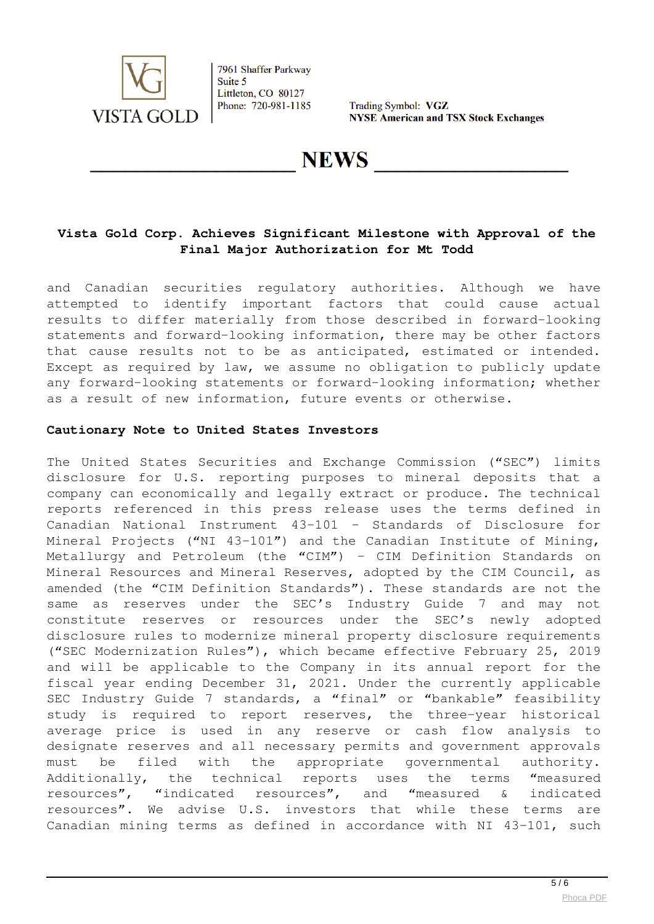

Trading Symbol: VGZ **NYSE American and TSX Stock Exchanges** 

**NEWS** 

## **Vista Gold Corp. Achieves Significant Milestone with Approval of the Final Major Authorization for Mt Todd**

and Canadian securities regulatory authorities. Although we have attempted to identify important factors that could cause actual results to differ materially from those described in forward-looking statements and forward-looking information, there may be other factors that cause results not to be as anticipated, estimated or intended. Except as required by law, we assume no obligation to publicly update any forward-looking statements or forward-looking information; whether as a result of new information, future events or otherwise.

#### **Cautionary Note to United States Investors**

The United States Securities and Exchange Commission ("SEC") limits disclosure for U.S. reporting purposes to mineral deposits that a company can economically and legally extract or produce. The technical reports referenced in this press release uses the terms defined in Canadian National Instrument 43-101 – Standards of Disclosure for Mineral Projects ("NI 43-101") and the Canadian Institute of Mining, Metallurgy and Petroleum (the "CIM") – CIM Definition Standards on Mineral Resources and Mineral Reserves, adopted by the CIM Council, as amended (the "CIM Definition Standards"). These standards are not the same as reserves under the SEC's Industry Guide 7 and may not constitute reserves or resources under the SEC's newly adopted disclosure rules to modernize mineral property disclosure requirements ("SEC Modernization Rules"), which became effective February 25, 2019 and will be applicable to the Company in its annual report for the fiscal year ending December 31, 2021. Under the currently applicable SEC Industry Guide 7 standards, a "final" or "bankable" feasibility study is required to report reserves, the three-year historical average price is used in any reserve or cash flow analysis to designate reserves and all necessary permits and government approvals must be filed with the appropriate governmental authority. Additionally, the technical reports uses the terms "measured resources", "indicated resources", and "measured & indicated resources". We advise U.S. investors that while these terms are Canadian mining terms as defined in accordance with NI 43-101, such

 $\frac{1}{5/6}$